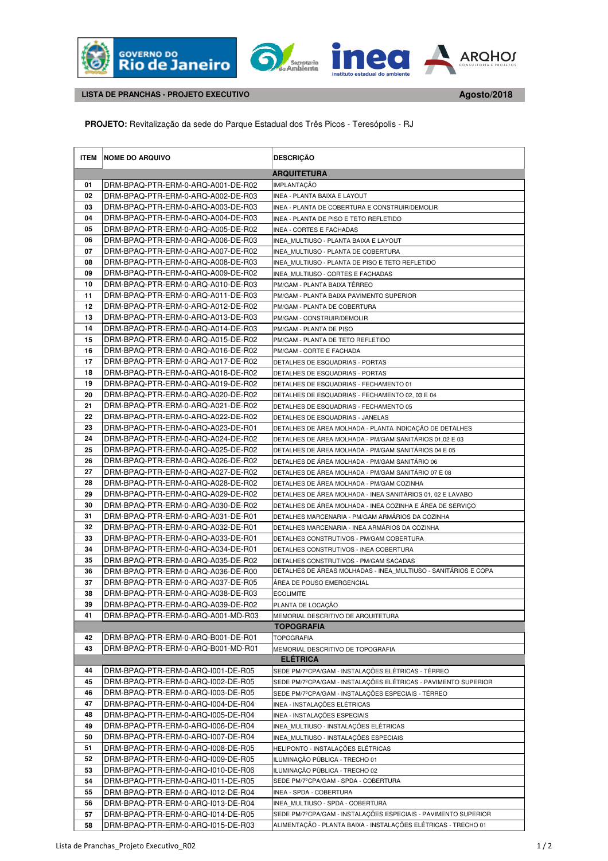





 **LISTA DE PRANCHAS - PROJETO EXECUTIVO** 

**Agosto/2018 .**

 **PROJETO:** Revitalização da sede do Parque Estadual dos Três Picos - Teresópolis - RJ

|          | <b>ITEM NOME DO ARQUIVO</b>                                              | <b>DESCRIÇÃO</b>                                                                           |
|----------|--------------------------------------------------------------------------|--------------------------------------------------------------------------------------------|
|          |                                                                          | <b>ARQUITETURA</b>                                                                         |
| 01       | DRM-BPAQ-PTR-ERM-0-ARQ-A001-DE-R02                                       | <b>IMPLANTACÃO</b>                                                                         |
| 02       | DRM-BPAQ-PTR-ERM-0-ARQ-A002-DE-R03                                       | INEA - PLANTA BAIXA E LAYOUT                                                               |
| 03       | DRM-BPAQ-PTR-ERM-0-ARQ-A003-DE-R03                                       | INEA - PLANTA DE COBERTURA E CONSTRUIR/DEMOLIR                                             |
| 04       | DRM-BPAQ-PTR-ERM-0-ARQ-A004-DE-R03                                       | INEA - PLANTA DE PISO E TETO REFLETIDO                                                     |
| 05       | DRM-BPAQ-PTR-ERM-0-ARQ-A005-DE-R02                                       | <b>INEA - CORTES E FACHADAS</b>                                                            |
| 06       | DRM-BPAQ-PTR-ERM-0-ARQ-A006-DE-R03                                       | INEA MULTIUSO - PLANTA BAIXA E LAYOUT                                                      |
| 07       | DRM-BPAQ-PTR-ERM-0-ARQ-A007-DE-R02                                       | INEA MULTIUSO - PLANTA DE COBERTURA                                                        |
| 08       | DRM-BPAQ-PTR-ERM-0-ARQ-A008-DE-R03                                       | INEA MULTIUSO - PLANTA DE PISO E TETO REFLETIDO                                            |
| 09       | DRM-BPAQ-PTR-ERM-0-ARQ-A009-DE-R02                                       | INEA MULTIUSO - CORTES E FACHADAS                                                          |
| 10       | DRM-BPAQ-PTR-ERM-0-ARQ-A010-DE-R03                                       | PM/GAM - PLANTA BAIXA TÉRREO                                                               |
| 11       | DRM-BPAQ-PTR-ERM-0-ARQ-A011-DE-R03                                       | PM/GAM - PLANTA BAIXA PAVIMENTO SUPERIOR                                                   |
| 12       | DRM-BPAQ-PTR-ERM-0-ARQ-A012-DE-R02                                       | PM/GAM - PLANTA DE COBERTURA                                                               |
| 13       | DRM-BPAQ-PTR-ERM-0-ARQ-A013-DE-R03                                       | PM/GAM - CONSTRUIR/DEMOLIR                                                                 |
| 14       | DRM-BPAQ-PTR-ERM-0-ARQ-A014-DE-R03                                       | PM/GAM - PLANTA DE PISO                                                                    |
| 15       | DRM-BPAQ-PTR-ERM-0-ARQ-A015-DE-R02                                       | PM/GAM - PLANTA DE TETO REFLETIDO                                                          |
| 16       | DRM-BPAQ-PTR-ERM-0-ARQ-A016-DE-R02                                       | PM/GAM - CORTE E FACHADA                                                                   |
| 17       | DRM-BPAQ-PTR-ERM-0-ARQ-A017-DE-R02                                       | DETALHES DE ESQUADRIAS - PORTAS                                                            |
| 18       | DRM-BPAQ-PTR-ERM-0-ARQ-A018-DE-R02                                       | DETALHES DE ESQUADRIAS - PORTAS                                                            |
| 19       | DRM-BPAQ-PTR-ERM-0-ARQ-A019-DE-R02                                       | DETALHES DE ESQUADRIAS - FECHAMENTO 01                                                     |
| 20       | DRM-BPAQ-PTR-ERM-0-ARQ-A020-DE-R02                                       | DETALHES DE ESQUADRIAS - FECHAMENTO 02, 03 E 04                                            |
| 21       | DRM-BPAQ-PTR-ERM-0-ARQ-A021-DE-R02                                       | DETALHES DE ESQUADRIAS - FECHAMENTO 05                                                     |
| 22       | DRM-BPAQ-PTR-ERM-0-ARQ-A022-DE-R02                                       | DETALHES DE ESQUADRIAS - JANELAS                                                           |
| 23       | DRM-BPAQ-PTR-ERM-0-ARQ-A023-DE-R01                                       | DETALHES DE ÁREA MOLHADA - PLANTA INDICAÇÃO DE DETALHES                                    |
| 24       | DRM-BPAQ-PTR-ERM-0-ARQ-A024-DE-R02                                       | DETALHES DE ÁREA MOLHADA - PM/GAM SANITÁRIOS 01,02 E 03                                    |
| 25       | DRM-BPAQ-PTR-ERM-0-ARQ-A025-DE-R02                                       | DETALHES DE ÁREA MOLHADA - PM/GAM SANITÁRIOS 04 E 05                                       |
| 26       | DRM-BPAQ-PTR-ERM-0-ARQ-A026-DE-R02                                       | DETALHES DE ÁREA MOLHADA - PM/GAM SANITÁRIO 06                                             |
| 27       | DRM-BPAQ-PTR-ERM-0-ARQ-A027-DE-R02                                       | DETALHES DE ÁREA MOLHADA - PM/GAM SANITÁRIO 07 E 08                                        |
| 28       | DRM-BPAQ-PTR-ERM-0-ARQ-A028-DE-R02                                       | DETALHES DE AREA MOLHADA - PM/GAM COZINHA                                                  |
| 29       | DRM-BPAQ-PTR-ERM-0-ARQ-A029-DE-R02                                       | DETALHES DE ÁREA MOLHADA - INEA SANITÁRIOS 01, 02 E LAVABO                                 |
| 30<br>31 | DRM-BPAQ-PTR-ERM-0-ARQ-A030-DE-R02                                       | DETALHES DE ÁREA MOLHADA - INEA COZINHA E ÁREA DE SERVIÇO                                  |
| 32       | DRM-BPAQ-PTR-ERM-0-ARQ-A031-DE-R01<br>DRM-BPAQ-PTR-ERM-0-ARQ-A032-DE-R01 | DETALHES MARCENARIA - PM/GAM ARMÁRIOS DA COZINHA                                           |
| 33       | DRM-BPAQ-PTR-ERM-0-ARQ-A033-DE-R01                                       | DETALHES MARCENARIA - INEA ARMARIOS DA COZINHA<br>DETALHES CONSTRUTIVOS - PM/GAM COBERTURA |
| 34       | DRM-BPAQ-PTR-ERM-0-ARQ-A034-DE-R01                                       | DETALHES CONSTRUTIVOS - INEA COBERTURA                                                     |
| 35       | DRM-BPAQ-PTR-ERM-0-ARQ-A035-DE-R02                                       | DETALHES CONSTRUTIVOS - PM/GAM SACADAS                                                     |
| 36       | DRM-BPAQ-PTR-ERM-0-ARQ-A036-DE-R00                                       | DETALHES DE AREAS MOLHADAS - INEA MULTIUSO - SANITARIOS E COPA                             |
| 37       | DRM-BPAQ-PTR-ERM-0-ARQ-A037-DE-R05                                       | AREA DE POUSO EMERGENCIAL                                                                  |
| 38       | DRM-BPAQ-PTR-ERM-0-ARQ-A038-DE-R03                                       | <b>ECOLIMITE</b>                                                                           |
| 39       | DRM-BPAQ-PTR-ERM-0-ARQ-A039-DE-R02                                       | PLANTA DE LOCAÇÃO                                                                          |
| 41       | DRM-BPAQ-PTR-ERM-0-ARQ-A001-MD-R03                                       | MEMORIAL DESCRITIVO DE ARQUITETURA                                                         |
|          |                                                                          | <b>TOPOGRAFIA</b>                                                                          |
| 42       | DRM-BPAQ-PTR-ERM-0-ARQ-B001-DE-R01                                       | <b>TOPOGRAFIA</b>                                                                          |
| 43       | DRM-BPAQ-PTR-ERM-0-ARQ-B001-MD-R01                                       | MEMORIAL DESCRITIVO DE TOPOGRAFIA                                                          |
|          |                                                                          | <b>ELÉTRICA</b>                                                                            |
| 44       | DRM-BPAQ-PTR-ERM-0-ARQ-1001-DE-R05                                       | SEDE PM/7ºCPA/GAM - INSTALAÇÕES ELÉTRICAS - TÉRREO                                         |
| 45       | DRM-BPAQ-PTR-ERM-0-ARQ-1002-DE-R05                                       | SEDE PM/7ºCPA/GAM - INSTALAÇÕES ELÉTRICAS - PAVIMENTO SUPERIOR                             |
| 46       | DRM-BPAQ-PTR-ERM-0-ARQ-1003-DE-R05                                       | SEDE PM/7ºCPA/GAM - INSTALAÇÕES ESPECIAIS - TÉRREO                                         |
| 47       | DRM-BPAQ-PTR-ERM-0-ARQ-1004-DE-R04                                       | INEA - INSTALAÇÕES ELÉTRICAS                                                               |
| 48       | DRM-BPAQ-PTR-ERM-0-ARQ-1005-DE-R04                                       | INEA - INSTALAÇÕES ESPECIAIS                                                               |
| 49       | DRM-BPAQ-PTR-ERM-0-ARQ-1006-DE-R04                                       | INEA_MULTIUSO - INSTALAÇÕES ELÉTRICAS                                                      |
| 50       | DRM-BPAQ-PTR-ERM-0-ARQ-1007-DE-R04                                       | INEA_MULTIUSO - INSTALAÇÕES ESPECIAIS                                                      |
| 51       | DRM-BPAQ-PTR-ERM-0-ARQ-1008-DE-R05                                       | HELIPONTO - INSTALAÇÕES ELÉTRICAS                                                          |
| 52       | DRM-BPAQ-PTR-ERM-0-ARQ-1009-DE-R05                                       | ILUMINAÇÃO PÚBLICA - TRECHO 01                                                             |
| 53       | DRM-BPAQ-PTR-ERM-0-ARQ-I010-DE-R06                                       | ILUMINAÇÃO PÚBLICA - TRECHO 02                                                             |
| 54       | DRM-BPAQ-PTR-ERM-0-ARQ-1011-DE-R05                                       | SEDE PM/7ºCPA/GAM - SPDA - COBERTURA                                                       |
| 55       | DRM-BPAQ-PTR-ERM-0-ARQ-1012-DE-R04                                       | INEA - SPDA - COBERTURA                                                                    |
| 56       | DRM-BPAQ-PTR-ERM-0-ARQ-1013-DE-R04                                       | INEA_MULTIUSO - SPDA - COBERTURA                                                           |
| 57       | DRM-BPAQ-PTR-ERM-0-ARQ-1014-DE-R05                                       | SEDE PM/7ºCPA/GAM - INSTALAÇÕES ESPECIAIS - PAVIMENTO SUPERIOR                             |
| 58       | DRM-BPAQ-PTR-ERM-0-ARQ-I015-DE-R03                                       | ALIMENTAÇÃO - PLANTA BAIXA - INSTALAÇÕES ELÉTRICAS - TRECHO 01                             |